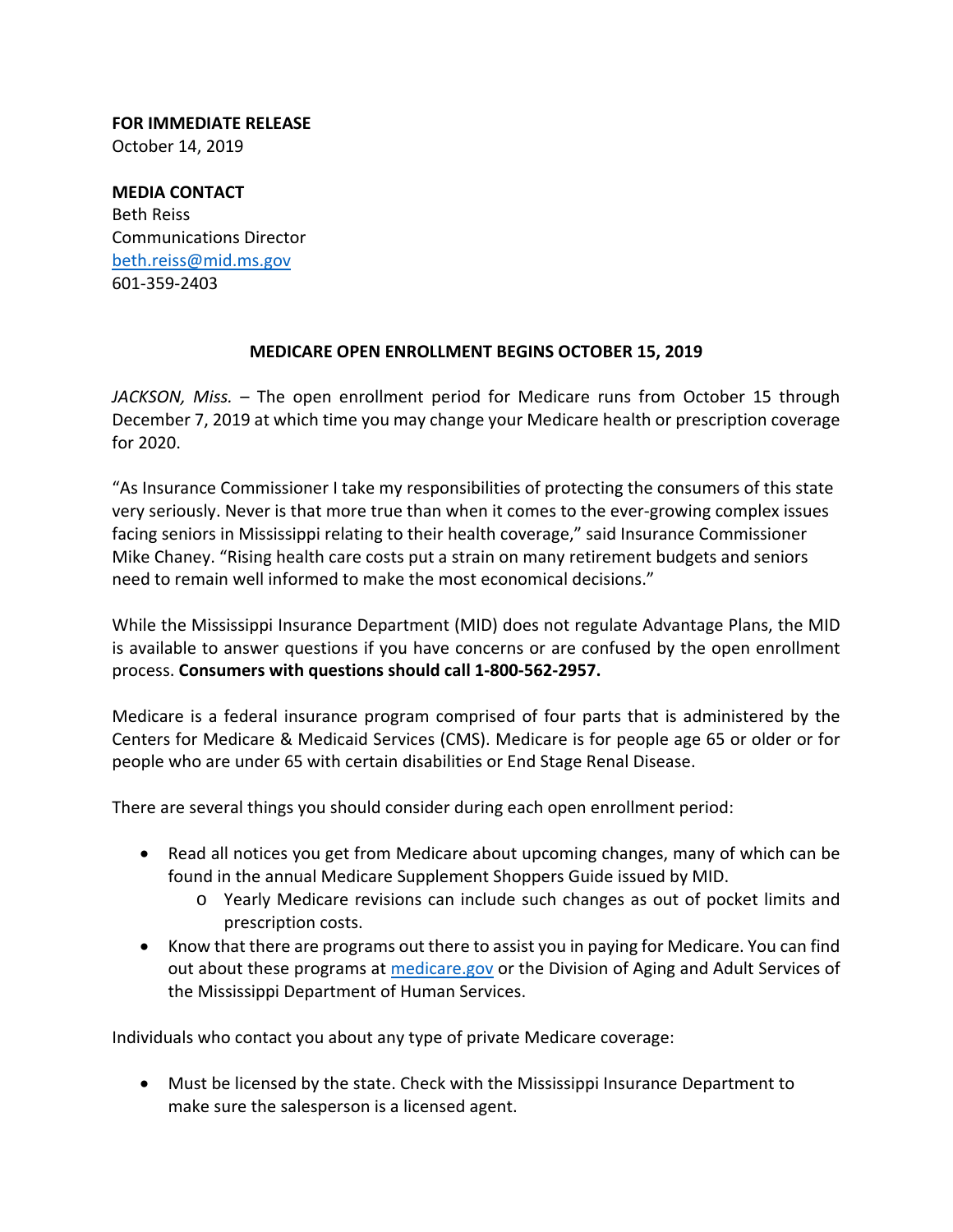**FOR IMMEDIATE RELEASE** October 14, 2019

**MEDIA CONTACT** Beth Reiss Communications Director beth.reiss@mid.ms.gov 601‐359‐2403

## **MEDICARE OPEN ENROLLMENT BEGINS OCTOBER 15, 2019**

*JACKSON, Miss.* – The open enrollment period for Medicare runs from October 15 through December 7, 2019 at which time you may change your Medicare health or prescription coverage for 2020.

"As Insurance Commissioner I take my responsibilities of protecting the consumers of this state very seriously. Never is that more true than when it comes to the ever-growing complex issues facing seniors in Mississippi relating to their health coverage," said Insurance Commissioner Mike Chaney. "Rising health care costs put a strain on many retirement budgets and seniors need to remain well informed to make the most economical decisions."

While the Mississippi Insurance Department (MID) does not regulate Advantage Plans, the MID is available to answer questions if you have concerns or are confused by the open enrollment process. **Consumers with questions should call 1‐800‐562‐2957.**

Medicare is a federal insurance program comprised of four parts that is administered by the Centers for Medicare & Medicaid Services (CMS). Medicare is for people age 65 or older or for people who are under 65 with certain disabilities or End Stage Renal Disease.

There are several things you should consider during each open enrollment period:

- Read all notices you get from Medicare about upcoming changes, many of which can be found in the annual Medicare Supplement Shoppers Guide issued by MID.
	- o Yearly Medicare revisions can include such changes as out of pocket limits and prescription costs.
- Know that there are programs out there to assist you in paying for Medicare. You can find out about these programs at medicare.gov or the Division of Aging and Adult Services of the Mississippi Department of Human Services.

Individuals who contact you about any type of private Medicare coverage:

 Must be licensed by the state. Check with the Mississippi Insurance Department to make sure the salesperson is a licensed agent.